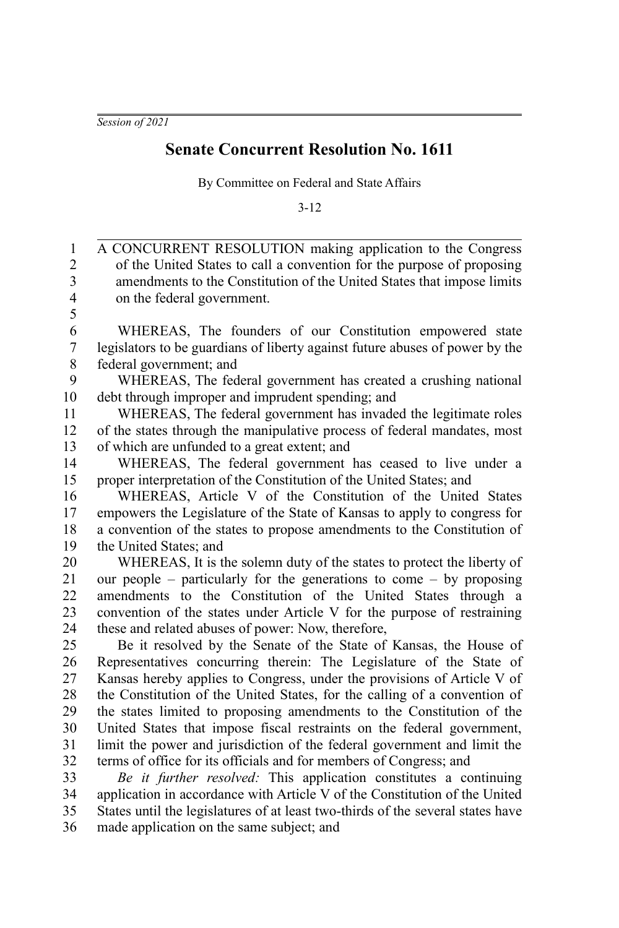*Session of 2021*

## **Senate Concurrent Resolution No. 1611**

By Committee on Federal and State Affairs

3-12

A CONCURRENT RESOLUTION making application to the Congress of the United States to call a convention for the purpose of proposing amendments to the Constitution of the United States that impose limits on the federal government. WHEREAS, The founders of our Constitution empowered state legislators to be guardians of liberty against future abuses of power by the federal government; and WHEREAS, The federal government has created a crushing national debt through improper and imprudent spending; and WHEREAS, The federal government has invaded the legitimate roles of the states through the manipulative process of federal mandates, most of which are unfunded to a great extent; and WHEREAS, The federal government has ceased to live under a proper interpretation of the Constitution of the United States; and WHEREAS, Article V of the Constitution of the United States empowers the Legislature of the State of Kansas to apply to congress for a convention of the states to propose amendments to the Constitution of the United States; and WHEREAS, It is the solemn duty of the states to protect the liberty of our people – particularly for the generations to come – by proposing amendments to the Constitution of the United States through a convention of the states under Article V for the purpose of restraining these and related abuses of power: Now, therefore, Be it resolved by the Senate of the State of Kansas, the House of Representatives concurring therein: The Legislature of the State of Kansas hereby applies to Congress, under the provisions of Article V of the Constitution of the United States, for the calling of a convention of the states limited to proposing amendments to the Constitution of the United States that impose fiscal restraints on the federal government, limit the power and jurisdiction of the federal government and limit the terms of office for its officials and for members of Congress; and *Be it further resolved:* This application constitutes a continuing application in accordance with Article V of the Constitution of the United States until the legislatures of at least two-thirds of the several states have 1 2 3 4 5 6 7 8 9 10 11 12 13 14 15 16 17 18 19 20 21 22 23  $24$ 25 26 27 28 29 30 31 32 33 34 35

made application on the same subject; and 36